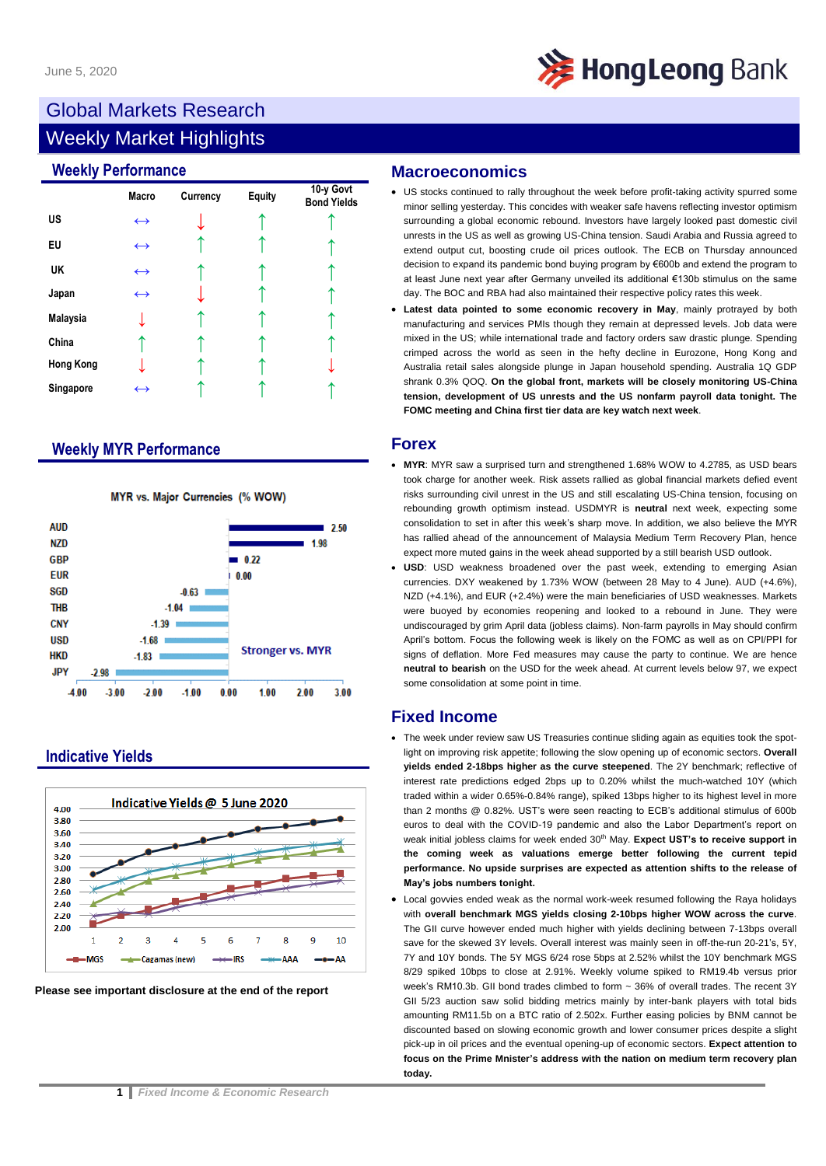

# Global Markets Research

## Weekly Market Highlights

### **Weekly Performance**

|                  | <b>Macro</b>      | Currency | <b>Equity</b> | 10-y Govt<br><b>Bond Yields</b> |
|------------------|-------------------|----------|---------------|---------------------------------|
| US               | $\leftrightarrow$ |          |               |                                 |
| EU               | $\leftrightarrow$ |          |               |                                 |
| UK               | $\leftrightarrow$ |          |               |                                 |
| Japan            | $\leftrightarrow$ |          |               |                                 |
| Malaysia         |                   |          |               |                                 |
| China            |                   |          |               |                                 |
| <b>Hong Kong</b> |                   |          |               |                                 |
| Singapore        | $\leftrightarrow$ |          |               |                                 |

### **Weekly MYR Performance**



### MYR vs. Major Currencies (% WOW)

### **Indicative Yields**





### **Macroeconomics**

- US stocks continued to rally throughout the week before profit-taking activity spurred some minor selling yesterday. This concides with weaker safe havens reflecting investor optimism surrounding a global economic rebound. Investors have largely looked past domestic civil unrests in the US as well as growing US-China tension. Saudi Arabia and Russia agreed to extend output cut, boosting crude oil prices outlook. The ECB on Thursday announced decision to expand its pandemic bond buying program by €600b and extend the program to at least June next year after Germany unveiled its additional €130b stimulus on the same day. The BOC and RBA had also maintained their respective policy rates this week.
- **Latest data pointed to some economic recovery in May**, mainly protrayed by both manufacturing and services PMIs though they remain at depressed levels. Job data were mixed in the US; while international trade and factory orders saw drastic plunge. Spending crimped across the world as seen in the hefty decline in Eurozone, Hong Kong and Australia retail sales alongside plunge in Japan household spending. Australia 1Q GDP shrank 0.3% QOQ. **On the global front, markets will be closely monitoring US-China tension, development of US unrests and the US nonfarm payroll data tonight. The FOMC meeting and China first tier data are key watch next week**.

### **Forex**

- **MYR**: MYR saw a surprised turn and strengthened 1.68% WOW to 4.2785, as USD bears took charge for another week. Risk assets rallied as global financial markets defied event risks surrounding civil unrest in the US and still escalating US-China tension, focusing on rebounding growth optimism instead. USDMYR is **neutral** next week, expecting some consolidation to set in after this week's sharp move. In addition, we also believe the MYR has rallied ahead of the announcement of Malaysia Medium Term Recovery Plan, hence expect more muted gains in the week ahead supported by a still bearish USD outlook.
- **USD**: USD weakness broadened over the past week, extending to emerging Asian currencies. DXY weakened by 1.73% WOW (between 28 May to 4 June). AUD (+4.6%), NZD (+4.1%), and EUR (+2.4%) were the main beneficiaries of USD weaknesses. Markets were buoyed by economies reopening and looked to a rebound in June. They were undiscouraged by grim April data (jobless claims). Non-farm payrolls in May should confirm April's bottom. Focus the following week is likely on the FOMC as well as on CPI/PPI for signs of deflation. More Fed measures may cause the party to continue. We are hence **neutral to bearish** on the USD for the week ahead. At current levels below 97, we expect some consolidation at some point in time.

### **Fixed Income**

- The week under review saw US Treasuries continue sliding again as equities took the spotlight on improving risk appetite; following the slow opening up of economic sectors. **Overall yields ended 2-18bps higher as the curve steepened**. The 2Y benchmark; reflective of interest rate predictions edged 2bps up to 0.20% whilst the much-watched 10Y (which traded within a wider 0.65%-0.84% range), spiked 13bps higher to its highest level in more than 2 months @ 0.82%. UST's were seen reacting to ECB's additional stimulus of 600b euros to deal with the COVID-19 pandemic and also the Labor Department's report on weak initial jobless claims for week ended 30<sup>th</sup> May. Expect UST's to receive support in **the coming week as valuations emerge better following the current tepid performance. No upside surprises are expected as attention shifts to the release of May's jobs numbers tonight.**
- Local govvies ended weak as the normal work-week resumed following the Raya holidays with **overall benchmark MGS yields closing 2-10bps higher WOW across the curve**. The GII curve however ended much higher with yields declining between 7-13bps overall save for the skewed 3Y levels. Overall interest was mainly seen in off-the-run 20-21's, 5Y, 7Y and 10Y bonds. The 5Y MGS 6/24 rose 5bps at 2.52% whilst the 10Y benchmark MGS 8/29 spiked 10bps to close at 2.91%. Weekly volume spiked to RM19.4b versus prior week's RM10.3b. GII bond trades climbed to form ~ 36% of overall trades. The recent 3Y GII 5/23 auction saw solid bidding metrics mainly by inter-bank players with total bids amounting RM11.5b on a BTC ratio of 2.502x. Further easing policies by BNM cannot be discounted based on slowing economic growth and lower consumer prices despite a slight pick-up in oil prices and the eventual opening-up of economic sectors. **Expect attention to focus on the Prime Mnister's address with the nation on medium term recovery plan today.**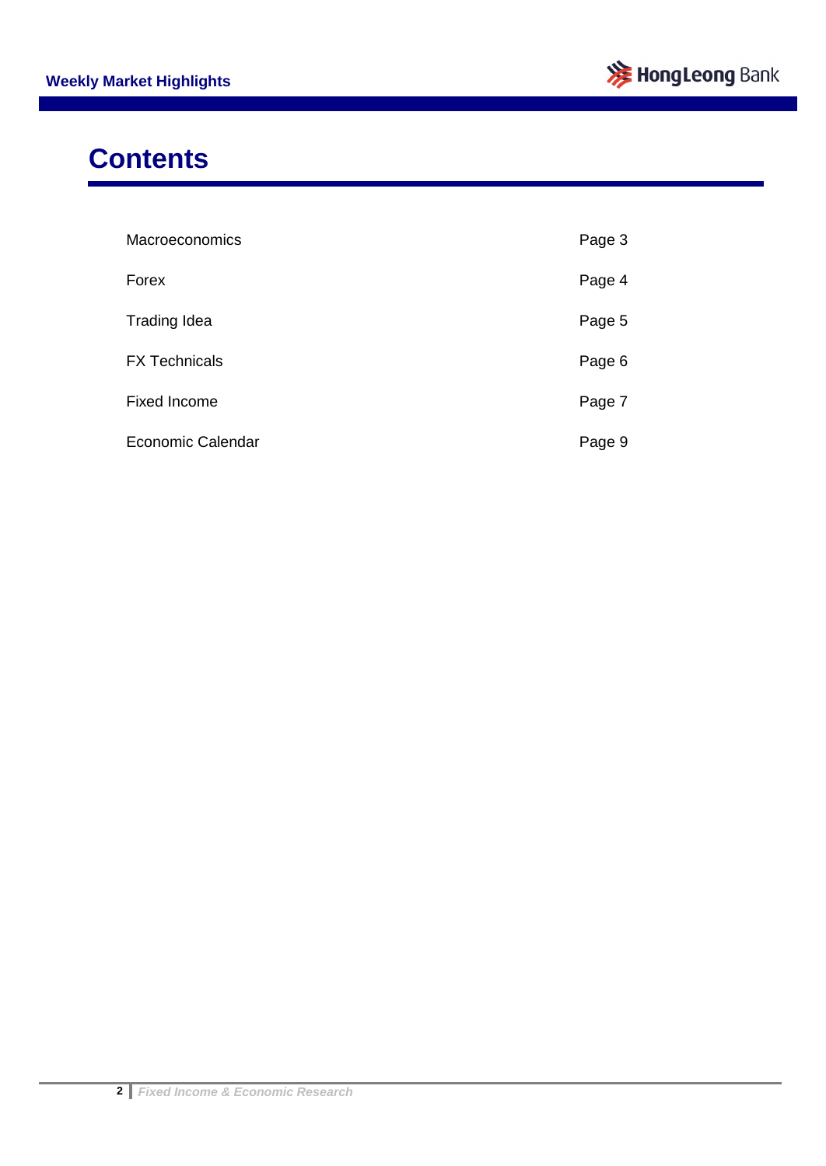

# **Contents**

| Macroeconomics           | Page 3 |
|--------------------------|--------|
| Forex                    | Page 4 |
| <b>Trading Idea</b>      | Page 5 |
| <b>FX Technicals</b>     | Page 6 |
| <b>Fixed Income</b>      | Page 7 |
| <b>Economic Calendar</b> | Page 9 |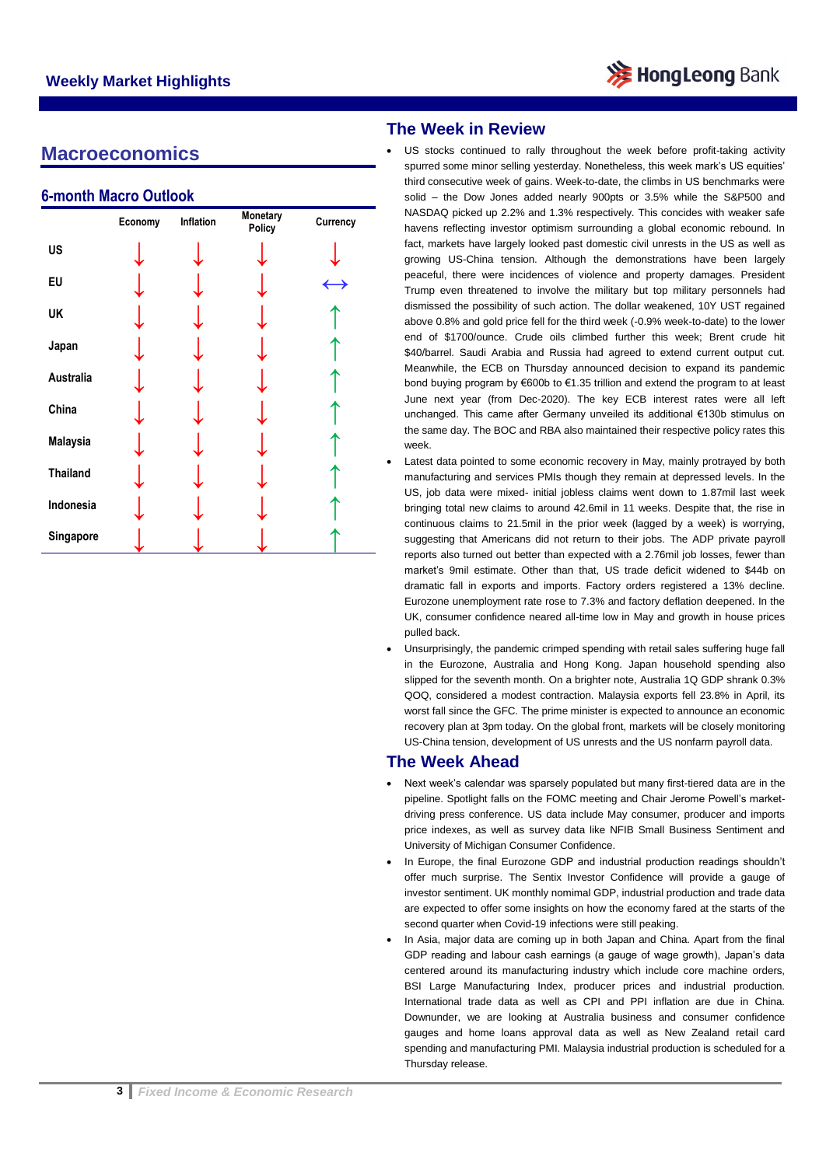

### **Macroeconomics**

### **6-month Macro Outlook**

|                 | Economy | Inflation | Monetary<br>Policy | Currency      |
|-----------------|---------|-----------|--------------------|---------------|
| US              |         |           |                    |               |
| EU              |         |           |                    | $\rightarrow$ |
| UK              |         |           |                    |               |
| Japan           |         |           |                    |               |
| Australia       |         |           |                    |               |
| China           |         |           |                    |               |
| <b>Malaysia</b> |         |           |                    |               |
| <b>Thailand</b> |         |           |                    |               |
| Indonesia       |         |           |                    |               |
| Singapore       |         |           |                    |               |

### **The Week in Review**

- US stocks continued to rally throughout the week before profit-taking activity spurred some minor selling yesterday. Nonetheless, this week mark's US equities' third consecutive week of gains. Week-to-date, the climbs in US benchmarks were solid – the Dow Jones added nearly 900pts or 3.5% while the S&P500 and NASDAQ picked up 2.2% and 1.3% respectively. This concides with weaker safe havens reflecting investor optimism surrounding a global economic rebound. In fact, markets have largely looked past domestic civil unrests in the US as well as growing US-China tension. Although the demonstrations have been largely peaceful, there were incidences of violence and property damages. President Trump even threatened to involve the military but top military personnels had dismissed the possibility of such action. The dollar weakened, 10Y UST regained above 0.8% and gold price fell for the third week (-0.9% week-to-date) to the lower end of \$1700/ounce. Crude oils climbed further this week; Brent crude hit \$40/barrel. Saudi Arabia and Russia had agreed to extend current output cut. Meanwhile, the ECB on Thursday announced decision to expand its pandemic bond buying program by €600b to €1.35 trillion and extend the program to at least June next year (from Dec-2020). The key ECB interest rates were all left unchanged. This came after Germany unveiled its additional €130b stimulus on the same day. The BOC and RBA also maintained their respective policy rates this week.
- Latest data pointed to some economic recovery in May, mainly protrayed by both manufacturing and services PMIs though they remain at depressed levels. In the US, job data were mixed- initial jobless claims went down to 1.87mil last week bringing total new claims to around 42.6mil in 11 weeks. Despite that, the rise in continuous claims to 21.5mil in the prior week (lagged by a week) is worrying, suggesting that Americans did not return to their jobs. The ADP private payroll reports also turned out better than expected with a 2.76mil job losses, fewer than market's 9mil estimate. Other than that, US trade deficit widened to \$44b on dramatic fall in exports and imports. Factory orders registered a 13% decline. Eurozone unemployment rate rose to 7.3% and factory deflation deepened. In the UK, consumer confidence neared all-time low in May and growth in house prices pulled back.
- Unsurprisingly, the pandemic crimped spending with retail sales suffering huge fall in the Eurozone, Australia and Hong Kong. Japan household spending also slipped for the seventh month. On a brighter note, Australia 1Q GDP shrank 0.3% QOQ, considered a modest contraction. Malaysia exports fell 23.8% in April, its worst fall since the GFC. The prime minister is expected to announce an economic recovery plan at 3pm today. On the global front, markets will be closely monitoring US-China tension, development of US unrests and the US nonfarm payroll data.

### **The Week Ahead**

- Next week's calendar was sparsely populated but many first-tiered data are in the pipeline. Spotlight falls on the FOMC meeting and Chair Jerome Powell's marketdriving press conference. US data include May consumer, producer and imports price indexes, as well as survey data like NFIB Small Business Sentiment and University of Michigan Consumer Confidence.
- In Europe, the final Eurozone GDP and industrial production readings shouldn't offer much surprise. The Sentix Investor Confidence will provide a gauge of investor sentiment. UK monthly nomimal GDP, industrial production and trade data are expected to offer some insights on how the economy fared at the starts of the second quarter when Covid-19 infections were still peaking.
- In Asia, major data are coming up in both Japan and China. Apart from the final GDP reading and labour cash earnings (a gauge of wage growth), Japan's data centered around its manufacturing industry which include core machine orders, BSI Large Manufacturing Index, producer prices and industrial production. International trade data as well as CPI and PPI inflation are due in China. Downunder, we are looking at Australia business and consumer confidence gauges and home loans approval data as well as New Zealand retail card spending and manufacturing PMI. Malaysia industrial production is scheduled for a Thursday release.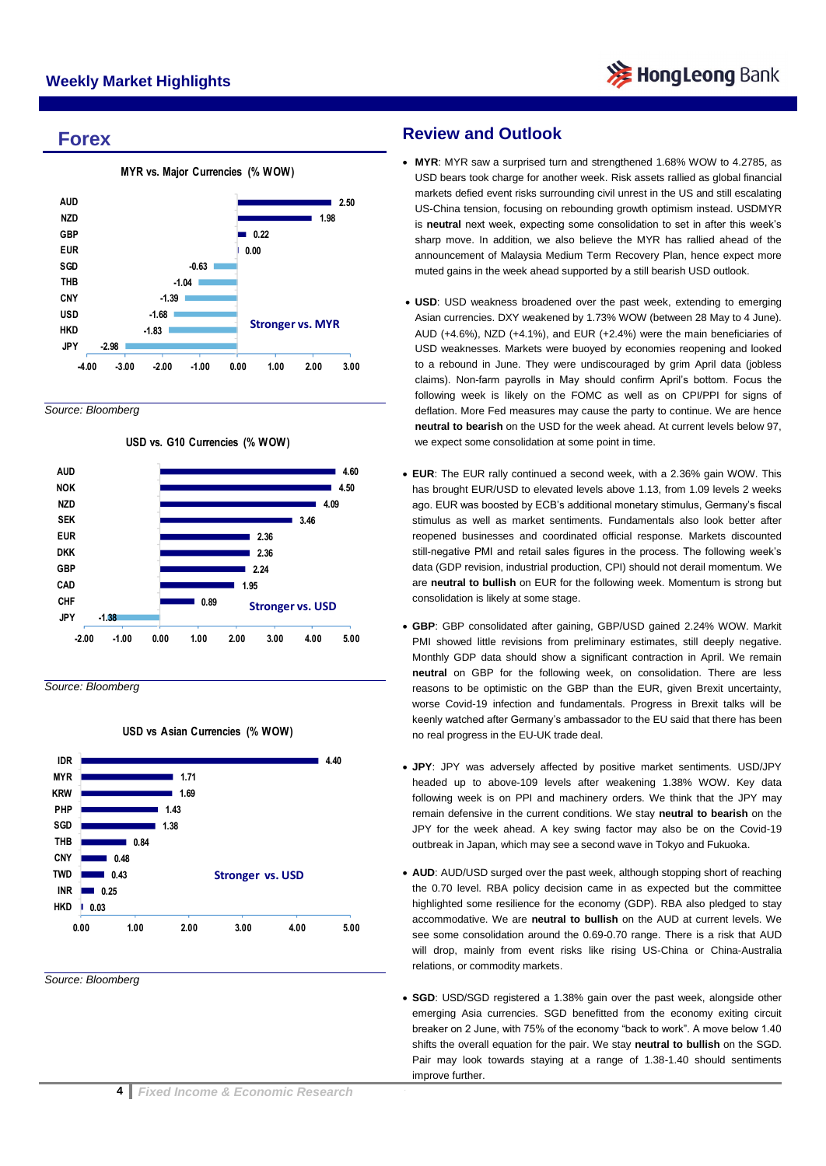### **Forex**



*Source: Bloomberg*



*Source: Bloomberg*

#### **USD vs Asian Currencies (% WOW)**



*Source: Bloomberg*

### **Review and Outlook**

- **MYR**: MYR saw a surprised turn and strengthened 1.68% WOW to 4.2785, as USD bears took charge for another week. Risk assets rallied as global financial markets defied event risks surrounding civil unrest in the US and still escalating US-China tension, focusing on rebounding growth optimism instead. USDMYR is **neutral** next week, expecting some consolidation to set in after this week's sharp move. In addition, we also believe the MYR has rallied ahead of the announcement of Malaysia Medium Term Recovery Plan, hence expect more muted gains in the week ahead supported by a still bearish USD outlook.
- **USD**: USD weakness broadened over the past week, extending to emerging Asian currencies. DXY weakened by 1.73% WOW (between 28 May to 4 June). AUD (+4.6%), NZD (+4.1%), and EUR (+2.4%) were the main beneficiaries of USD weaknesses. Markets were buoyed by economies reopening and looked to a rebound in June. They were undiscouraged by grim April data (jobless claims). Non-farm payrolls in May should confirm April's bottom. Focus the following week is likely on the FOMC as well as on CPI/PPI for signs of deflation. More Fed measures may cause the party to continue. We are hence **neutral to bearish** on the USD for the week ahead. At current levels below 97, we expect some consolidation at some point in time.
- **EUR**: The EUR rally continued a second week, with a 2.36% gain WOW. This has brought EUR/USD to elevated levels above 1.13, from 1.09 levels 2 weeks ago. EUR was boosted by ECB's additional monetary stimulus, Germany's fiscal stimulus as well as market sentiments. Fundamentals also look better after reopened businesses and coordinated official response. Markets discounted still-negative PMI and retail sales figures in the process. The following week's data (GDP revision, industrial production, CPI) should not derail momentum. We are **neutral to bullish** on EUR for the following week. Momentum is strong but consolidation is likely at some stage.
- **GBP**: GBP consolidated after gaining, GBP/USD gained 2.24% WOW. Markit PMI showed little revisions from preliminary estimates, still deeply negative. Monthly GDP data should show a significant contraction in April. We remain **neutral** on GBP for the following week, on consolidation. There are less reasons to be optimistic on the GBP than the EUR, given Brexit uncertainty, worse Covid-19 infection and fundamentals. Progress in Brexit talks will be keenly watched after Germany's ambassador to the EU said that there has been no real progress in the EU-UK trade deal.
- **JPY**: JPY was adversely affected by positive market sentiments. USD/JPY headed up to above-109 levels after weakening 1.38% WOW. Key data following week is on PPI and machinery orders. We think that the JPY may remain defensive in the current conditions. We stay **neutral to bearish** on the JPY for the week ahead. A key swing factor may also be on the Covid-19 outbreak in Japan, which may see a second wave in Tokyo and Fukuoka.
- **AUD**: AUD/USD surged over the past week, although stopping short of reaching the 0.70 level. RBA policy decision came in as expected but the committee highlighted some resilience for the economy (GDP). RBA also pledged to stay accommodative. We are **neutral to bullish** on the AUD at current levels. We see some consolidation around the 0.69-0.70 range. There is a risk that AUD will drop, mainly from event risks like rising US-China or China-Australia relations, or commodity markets.
- **SGD**: USD/SGD registered a 1.38% gain over the past week, alongside other emerging Asia currencies. SGD benefitted from the economy exiting circuit breaker on 2 June, with 75% of the economy "back to work". A move below 1.40 shifts the overall equation for the pair. We stay **neutral to bullish** on the SGD. Pair may look towards staying at a range of 1.38-1.40 should sentiments improve further.

 $\overline{\phantom{a}}$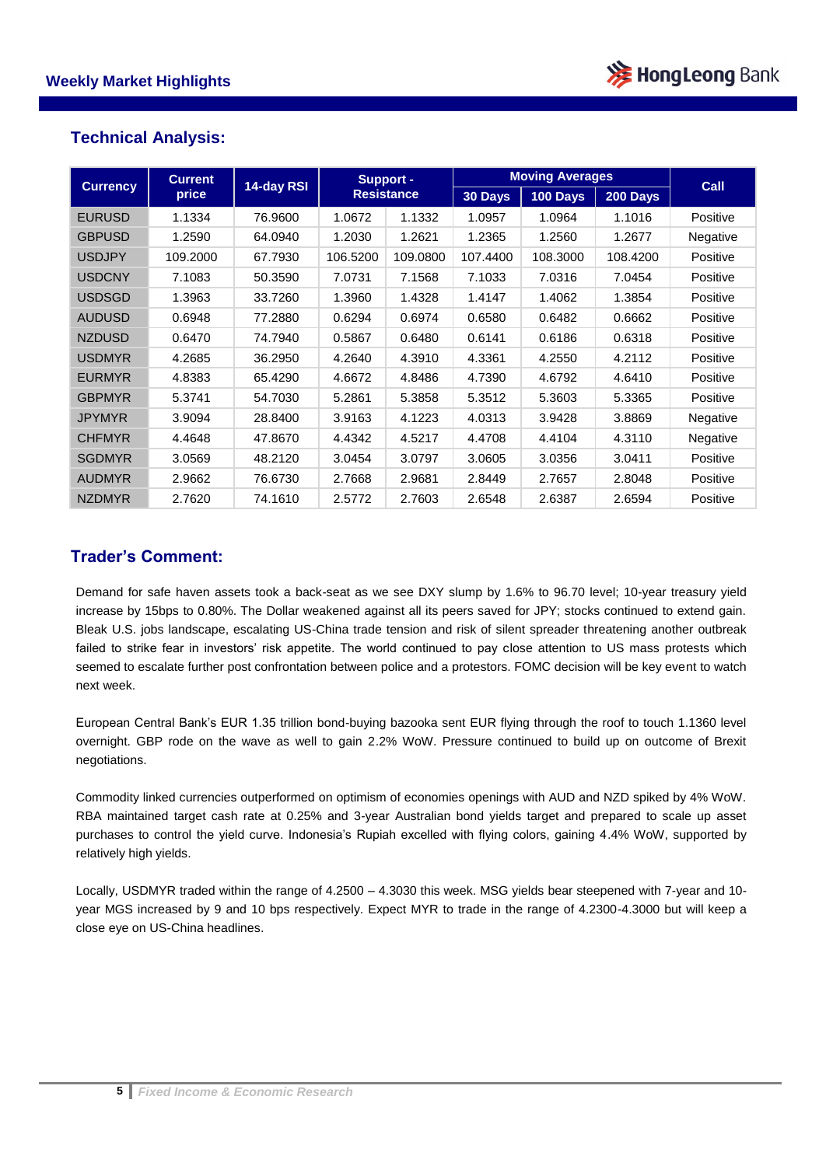

### **Technical Analysis:**

| <b>Currency</b> | <b>Current</b> | 14-day RSI | <b>Support -</b>  |          | <b>Moving Averages</b> |          |          | Call     |
|-----------------|----------------|------------|-------------------|----------|------------------------|----------|----------|----------|
|                 | price          |            | <b>Resistance</b> | 30 Days  | <b>100 Days</b>        | 200 Days |          |          |
| <b>EURUSD</b>   | 1.1334         | 76.9600    | 1.0672            | 1.1332   | 1.0957                 | 1.0964   | 1.1016   | Positive |
| <b>GBPUSD</b>   | 1.2590         | 64.0940    | 1.2030            | 1.2621   | 1.2365                 | 1.2560   | 1.2677   | Negative |
| <b>USDJPY</b>   | 109.2000       | 67.7930    | 106.5200          | 109.0800 | 107.4400               | 108.3000 | 108.4200 | Positive |
| <b>USDCNY</b>   | 7.1083         | 50.3590    | 7.0731            | 7.1568   | 7.1033                 | 7.0316   | 7.0454   | Positive |
| <b>USDSGD</b>   | 1.3963         | 33.7260    | 1.3960            | 1.4328   | 1.4147                 | 1.4062   | 1.3854   | Positive |
| <b>AUDUSD</b>   | 0.6948         | 77.2880    | 0.6294            | 0.6974   | 0.6580                 | 0.6482   | 0.6662   | Positive |
| <b>NZDUSD</b>   | 0.6470         | 74.7940    | 0.5867            | 0.6480   | 0.6141                 | 0.6186   | 0.6318   | Positive |
| <b>USDMYR</b>   | 4.2685         | 36.2950    | 4.2640            | 4.3910   | 4.3361                 | 4.2550   | 4.2112   | Positive |
| <b>EURMYR</b>   | 4.8383         | 65.4290    | 4.6672            | 4.8486   | 4.7390                 | 4.6792   | 4.6410   | Positive |
| <b>GBPMYR</b>   | 5.3741         | 54.7030    | 5.2861            | 5.3858   | 5.3512                 | 5.3603   | 5.3365   | Positive |
| <b>JPYMYR</b>   | 3.9094         | 28.8400    | 3.9163            | 4.1223   | 4.0313                 | 3.9428   | 3.8869   | Negative |
| <b>CHFMYR</b>   | 4.4648         | 47.8670    | 4.4342            | 4.5217   | 4.4708                 | 4.4104   | 4.3110   | Negative |
| <b>SGDMYR</b>   | 3.0569         | 48.2120    | 3.0454            | 3.0797   | 3.0605                 | 3.0356   | 3.0411   | Positive |
| <b>AUDMYR</b>   | 2.9662         | 76.6730    | 2.7668            | 2.9681   | 2.8449                 | 2.7657   | 2.8048   | Positive |
| <b>NZDMYR</b>   | 2.7620         | 74.1610    | 2.5772            | 2.7603   | 2.6548                 | 2.6387   | 2.6594   | Positive |

### **Trader's Comment:**

Demand for safe haven assets took a back-seat as we see DXY slump by 1.6% to 96.70 level; 10-year treasury yield increase by 15bps to 0.80%. The Dollar weakened against all its peers saved for JPY; stocks continued to extend gain. Bleak U.S. jobs landscape, escalating US-China trade tension and risk of silent spreader threatening another outbreak failed to strike fear in investors' risk appetite. The world continued to pay close attention to US mass protests which seemed to escalate further post confrontation between police and a protestors. FOMC decision will be key event to watch next week.

European Central Bank's EUR 1.35 trillion bond-buying bazooka sent EUR flying through the roof to touch 1.1360 level overnight. GBP rode on the wave as well to gain 2.2% WoW. Pressure continued to build up on outcome of Brexit negotiations.

Commodity linked currencies outperformed on optimism of economies openings with AUD and NZD spiked by 4% WoW. RBA maintained target cash rate at 0.25% and 3-year Australian bond yields target and prepared to scale up asset purchases to control the yield curve. Indonesia's Rupiah excelled with flying colors, gaining 4.4% WoW, supported by relatively high yields.

Locally, USDMYR traded within the range of 4.2500 – 4.3030 this week. MSG yields bear steepened with 7-year and 10 year MGS increased by 9 and 10 bps respectively. Expect MYR to trade in the range of 4.2300-4.3000 but will keep a close eye on US-China headlines.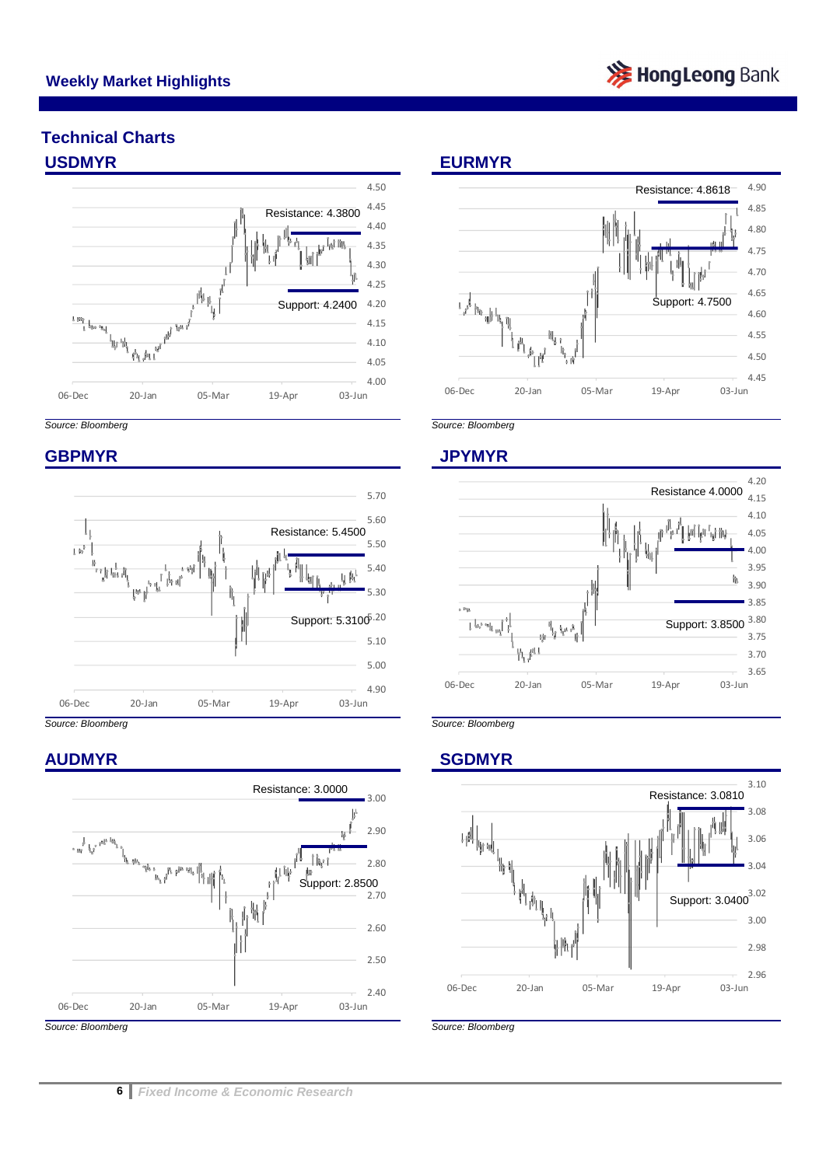

## **Technical Charts USDMYR EURMYR**





### **GBPMYR JPYMYR**



### **AUDMYR SGDMYR**









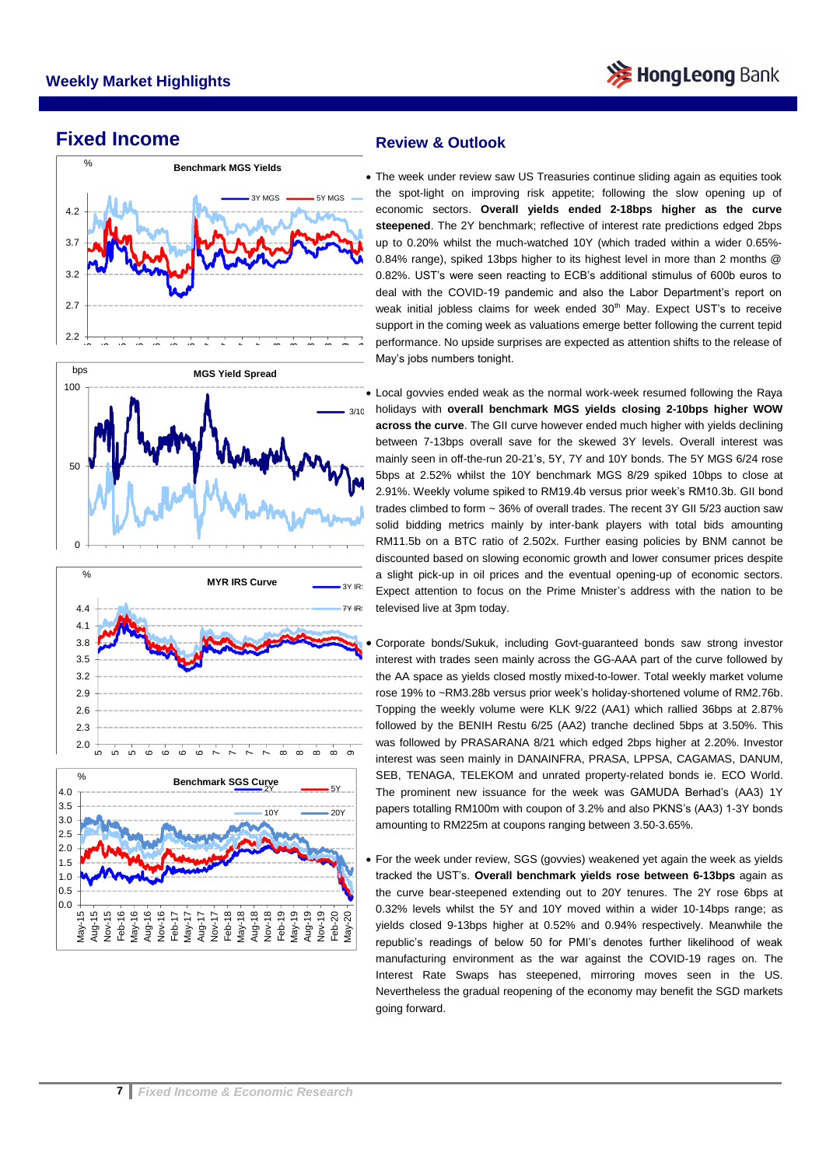

### **Fixed Income**



### **Review & Outlook**

Performance. To upside surfa- The week under review saw US Treasuries continue sliding again as equities took the spot-light on improving risk appetite; following the slow opening up of economic sectors. **Overall yields ended 2-18bps higher as the curve steepened**. The 2Y benchmark; reflective of interest rate predictions edged 2bps up to 0.20% whilst the much-watched 10Y (which traded within a wider 0.65%- 0.84% range), spiked 13bps higher to its highest level in more than 2 months @ 0.82%. UST's were seen reacting to ECB's additional stimulus of 600b euros to deal with the COVID-19 pandemic and also the Labor Department's report on weak initial jobless claims for week ended 30<sup>th</sup> May. Expect UST's to receive support in the coming week as valuations emerge better following the current tepid performance. No upside surprises are expected as attention shifts to the release of

discounted based on slowing economic growth and lower consumer prices despite<br>a slight pick-up in oil prices and the eventual opening-up of economic sectors. <sub>3/10</sub> holidays with **overall benchmark MGS yields closing 2-10bps higher WOW**  Local govvies ended weak as the normal work-week resumed following the Raya **across the curve**. The GII curve however ended much higher with yields declining between 7-13bps overall save for the skewed 3Y levels. Overall interest was mainly seen in off-the-run 20-21's, 5Y, 7Y and 10Y bonds. The 5Y MGS 6/24 rose 5bps at 2.52% whilst the 10Y benchmark MGS 8/29 spiked 10bps to close at 2.91%. Weekly volume spiked to RM19.4b versus prior week's RM10.3b. GII bond trades climbed to form ~ 36% of overall trades. The recent 3Y GII 5/23 auction saw solid bidding metrics mainly by inter-bank players with total bids amounting RM11.5b on a BTC ratio of 2.502x. Further easing policies by BNM cannot be a slight pick-up in oil prices and the eventual opening-up of economic sectors. Expect attention to focus on the Prime Mnister's address with the nation to be televised live at 3pm today.

interest was seen mainly in DANAINFRA, PRASA, LPPSA, CAGAMAS, DANUM,<br>SEB, TENAGA, TELEKOM and unrated property-related bonds ie. ECO World. Corporate bonds/Sukuk, including Govt-guaranteed bonds saw strong investor interest with trades seen mainly across the GG-AAA part of the curve followed by the AA space as yields closed mostly mixed-to-lower. Total weekly market volume rose 19% to ~RM3.28b versus prior week's holiday-shortened volume of RM2.76b. Topping the weekly volume were KLK 9/22 (AA1) which rallied 36bps at 2.87% followed by the BENIH Restu 6/25 (AA2) tranche declined 5bps at 3.50%. This was followed by PRASARANA 8/21 which edged 2bps higher at 2.20%. Investor SEB, TENAGA, TELEKOM and unrated property-related bonds ie. ECO World. The prominent new issuance for the week was GAMUDA Berhad's (AA3) 1Y papers totalling RM100m with coupon of 3.2% and also PKNS's (AA3) 1-3Y bonds amounting to RM225m at coupons ranging between 3.50-3.65%.

 For the week under review, SGS (govvies) weakened yet again the week as yields tracked the UST's. **Overall benchmark yields rose between 6-13bps** again as the curve bear-steepened extending out to 20Y tenures. The 2Y rose 6bps at 0.32% levels whilst the 5Y and 10Y moved within a wider 10-14bps range; as yields closed 9-13bps higher at 0.52% and 0.94% respectively. Meanwhile the republic's readings of below 50 for PMI's denotes further likelihood of weak manufacturing environment as the war against the COVID-19 rages on. The Interest Rate Swaps has steepened, mirroring moves seen in the US. Nevertheless the gradual reopening of the economy may benefit the SGD markets going forward.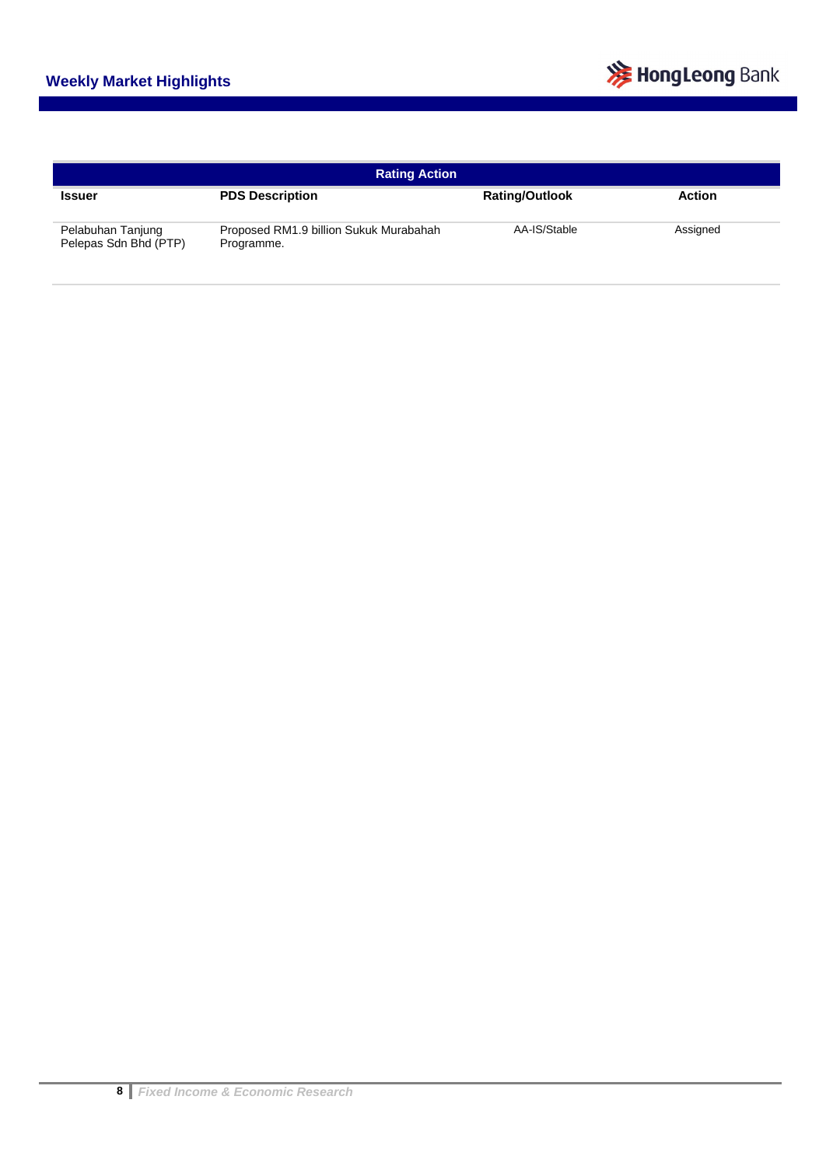

| <b>Rating Action</b>                       |                                                      |                       |               |  |  |  |  |
|--------------------------------------------|------------------------------------------------------|-----------------------|---------------|--|--|--|--|
| <b>Issuer</b>                              | <b>PDS Description</b>                               | <b>Rating/Outlook</b> | <b>Action</b> |  |  |  |  |
| Pelabuhan Tanjung<br>Pelepas Sdn Bhd (PTP) | Proposed RM1.9 billion Sukuk Murabahah<br>Programme. | AA-IS/Stable          | Assigned      |  |  |  |  |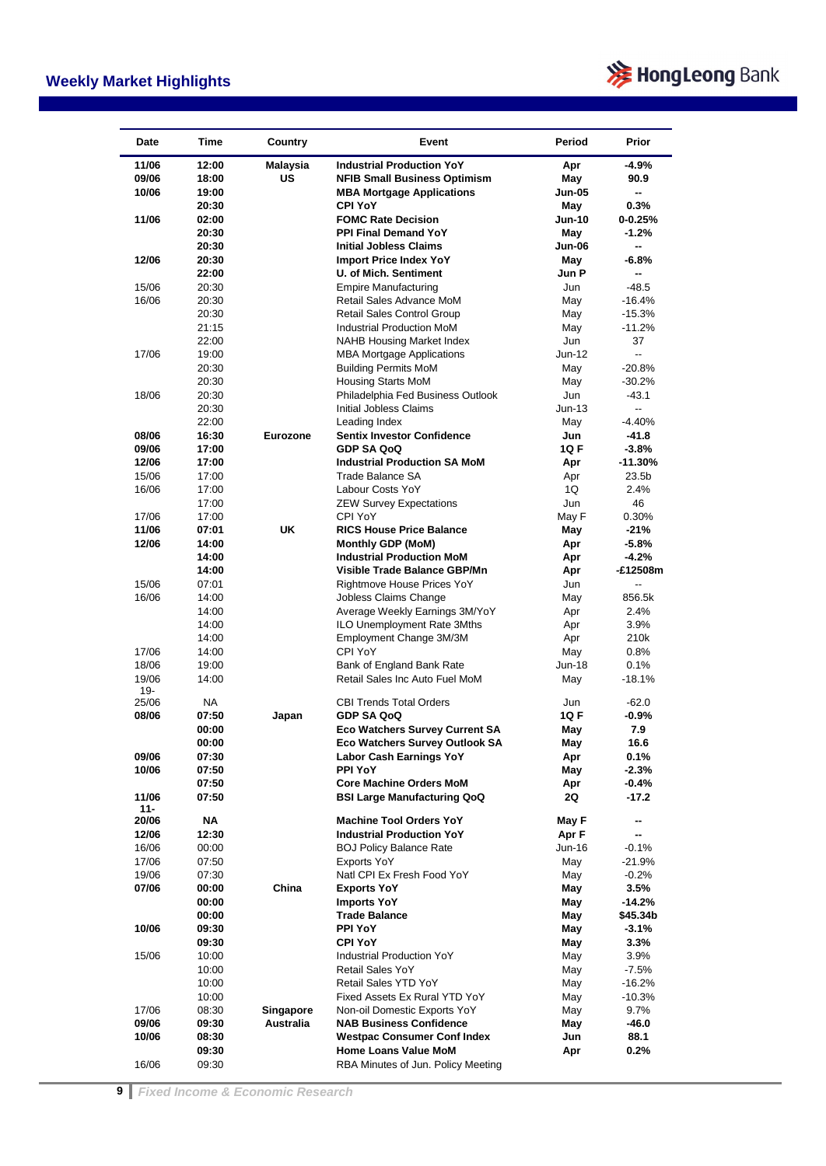

| <b>Date</b> | Time      | Country   | Event                                 | Period        | Prior       |
|-------------|-----------|-----------|---------------------------------------|---------------|-------------|
| 11/06       | 12:00     | Malaysia  | <b>Industrial Production YoY</b>      | Apr           | $-4.9%$     |
| 09/06       | 18:00     | US        | <b>NFIB Small Business Optimism</b>   | May           | 90.9        |
| 10/06       | 19:00     |           | <b>MBA Mortgage Applications</b>      | <b>Jun-05</b> | н.          |
|             | 20:30     |           | <b>CPI YoY</b>                        | May           | 0.3%        |
| 11/06       | 02:00     |           | <b>FOMC Rate Decision</b>             | <b>Jun-10</b> | $0 - 0.25%$ |
|             | 20:30     |           | <b>PPI Final Demand YoY</b>           | May           | $-1.2%$     |
|             | 20:30     |           | <b>Initial Jobless Claims</b>         | <b>Jun-06</b> | -−          |
| 12/06       | 20:30     |           | <b>Import Price Index YoY</b>         | May           | $-6.8%$     |
|             | 22:00     |           | <b>U. of Mich. Sentiment</b>          | Jun P         | -−          |
| 15/06       | 20:30     |           | <b>Empire Manufacturing</b>           | Jun           | $-48.5$     |
| 16/06       | 20:30     |           | Retail Sales Advance MoM              | May           | $-16.4%$    |
|             | 20:30     |           | <b>Retail Sales Control Group</b>     | May           | $-15.3%$    |
|             | 21:15     |           | Industrial Production MoM             | May           | $-11.2%$    |
|             | 22:00     |           | <b>NAHB Housing Market Index</b>      | Jun           | 37          |
| 17/06       | 19:00     |           | <b>MBA Mortgage Applications</b>      | $Jun-12$      | -−          |
|             | 20:30     |           | <b>Building Permits MoM</b>           | May           | $-20.8%$    |
|             | 20:30     |           | <b>Housing Starts MoM</b>             | May           | $-30.2%$    |
| 18/06       | 20:30     |           | Philadelphia Fed Business Outlook     | Jun           | $-43.1$     |
|             | 20:30     |           | <b>Initial Jobless Claims</b>         | $Jun-13$      | u.          |
|             | 22:00     |           | Leading Index                         | May           | $-4.40%$    |
| 08/06       | 16:30     | Eurozone  | <b>Sentix Investor Confidence</b>     | Jun           | -41.8       |
| 09/06       | 17:00     |           | <b>GDP SA QoQ</b>                     | 1Q F          | $-3.8%$     |
| 12/06       | 17:00     |           | <b>Industrial Production SA MoM</b>   | Apr           | $-11.30%$   |
| 15/06       | 17:00     |           | Trade Balance SA                      | Apr           | 23.5b       |
| 16/06       | 17:00     |           | Labour Costs YoY                      | 1Q            | 2.4%        |
|             | 17:00     |           | <b>ZEW Survey Expectations</b>        | Jun           | 46          |
| 17/06       | 17:00     |           | CPI YoY                               | May F         | 0.30%       |
| 11/06       | 07:01     | UK        | <b>RICS House Price Balance</b>       | May           | $-21%$      |
| 12/06       | 14:00     |           | Monthly GDP (MoM)                     | Apr           | $-5.8%$     |
|             | 14:00     |           | <b>Industrial Production MoM</b>      | Apr           | $-4.2%$     |
|             | 14:00     |           | Visible Trade Balance GBP/Mn          | Apr           | -£12508m    |
| 15/06       | 07:01     |           | Rightmove House Prices YoY            | Jun           | --          |
| 16/06       | 14:00     |           | Jobless Claims Change                 | May           | 856.5k      |
|             | 14:00     |           | Average Weekly Earnings 3M/YoY        | Apr           | 2.4%        |
|             | 14:00     |           | ILO Unemployment Rate 3Mths           | Apr           | 3.9%        |
|             | 14:00     |           | Employment Change 3M/3M               | Apr           | 210k        |
| 17/06       | 14:00     |           | CPI YoY                               | May           | 0.8%        |
| 18/06       | 19:00     |           | Bank of England Bank Rate             | $Jun-18$      | 0.1%        |
| 19/06       | 14:00     |           | Retail Sales Inc Auto Fuel MoM        | May           | -18.1%      |
| 19-         |           |           |                                       |               |             |
| 25/06       | <b>NA</b> |           | <b>CBI Trends Total Orders</b>        | Jun           | $-62.0$     |
| 08/06       | 07:50     | Japan     | <b>GDP SA QoQ</b>                     | 1Q F          | -0.9%       |
|             | 00:00     |           | <b>Eco Watchers Survey Current SA</b> | May           | 7.9         |
|             | 00:00     |           | Eco Watchers Survey Outlook SA        | May           | 16.6        |
| 09/06       | 07:30     |           | <b>Labor Cash Earnings YoY</b>        | Apr           | 0.1%        |
| 10/06       | 07:50     |           | <b>PPI YoY</b>                        | May           | $-2.3%$     |
|             | 07:50     |           | <b>Core Machine Orders MoM</b>        | Apr           | $-0.4%$     |
| 11/06       | 07:50     |           | <b>BSI Large Manufacturing QoQ</b>    | 2Q            | $-17.2$     |
| $11 -$      |           |           |                                       |               |             |
| 20/06       | NA        |           | <b>Machine Tool Orders YoY</b>        | May F         | −           |
| 12/06       | 12:30     |           | <b>Industrial Production YoY</b>      | Apr F         |             |
| 16/06       | 00:00     |           | <b>BOJ Policy Balance Rate</b>        | Jun-16        | $-0.1%$     |
| 17/06       | 07:50     |           | <b>Exports YoY</b>                    | May           | $-21.9%$    |
| 19/06       | 07:30     |           | Natl CPI Ex Fresh Food YoY            | May           | $-0.2%$     |
| 07/06       | 00:00     | China     | <b>Exports YoY</b>                    | May           | 3.5%        |
|             | 00:00     |           | <b>Imports YoY</b>                    | May           | -14.2%      |
|             | 00:00     |           | <b>Trade Balance</b>                  | May           | \$45.34b    |
| 10/06       | 09:30     |           | <b>PPI YoY</b>                        | May           | $-3.1%$     |
|             | 09:30     |           | <b>CPI YoY</b>                        | May           | 3.3%        |
| 15/06       | 10:00     |           | Industrial Production YoY             | May           | 3.9%        |
|             | 10:00     |           | Retail Sales YoY                      | May           | $-7.5%$     |
|             | 10:00     |           | Retail Sales YTD YoY                  | May           | $-16.2%$    |
|             | 10:00     |           | Fixed Assets Ex Rural YTD YoY         | May           | $-10.3%$    |
| 17/06       | 08:30     | Singapore | Non-oil Domestic Exports YoY          | May           | 9.7%        |
| 09/06       | 09:30     | Australia | <b>NAB Business Confidence</b>        | May           | -46.0       |
| 10/06       | 08:30     |           | <b>Westpac Consumer Conf Index</b>    | Jun           | 88.1        |
|             | 09:30     |           | Home Loans Value MoM                  | Apr           | 0.2%        |
| 16/06       | 09:30     |           | RBA Minutes of Jun. Policy Meeting    |               |             |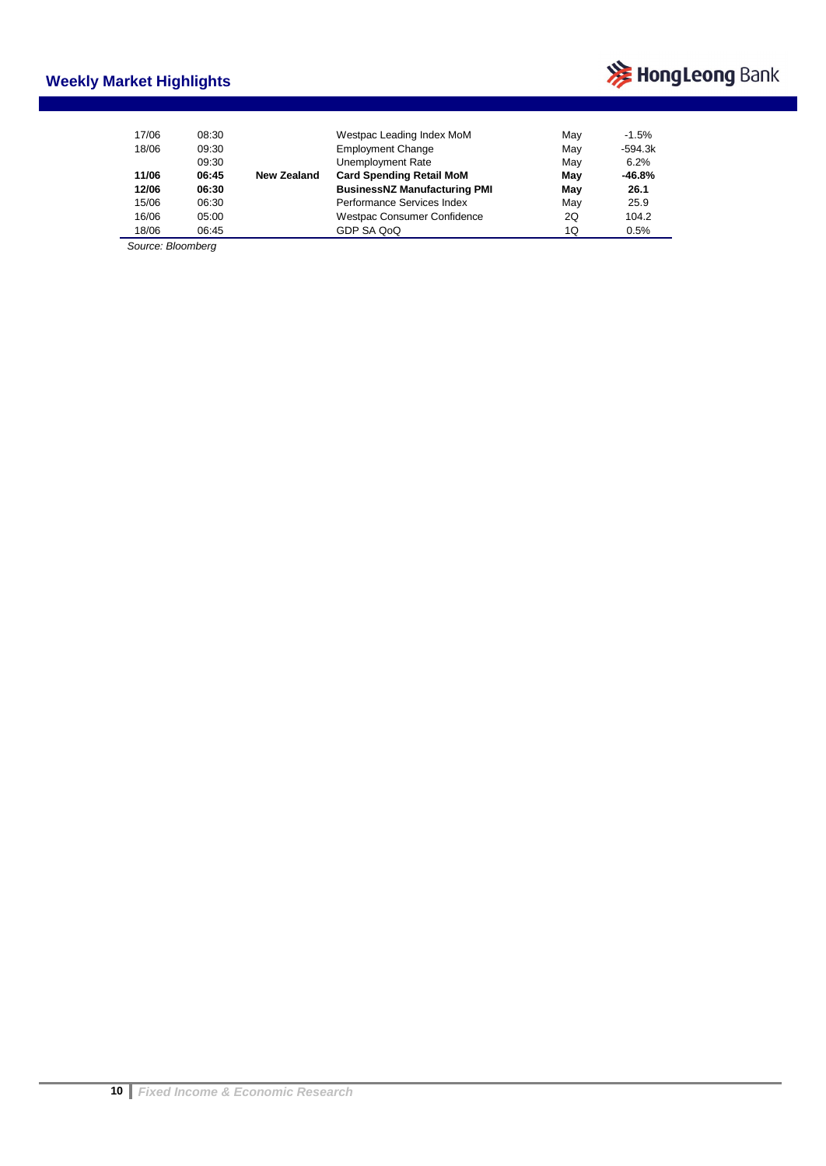### **Weekly Market Highlights**



| 17/06 | 08:30 |             | Westpac Leading Index MoM           | Mav | $-1.5%$   |
|-------|-------|-------------|-------------------------------------|-----|-----------|
| 18/06 | 09:30 |             | <b>Employment Change</b>            | Mav | $-594.3k$ |
|       | 09:30 |             | Unemployment Rate                   | May | 6.2%      |
| 11/06 | 06:45 | New Zealand | <b>Card Spending Retail MoM</b>     | May | $-46.8%$  |
| 12/06 | 06:30 |             | <b>BusinessNZ Manufacturing PMI</b> | May | 26.1      |
| 15/06 | 06:30 |             | Performance Services Index          | May | 25.9      |
| 16/06 | 05:00 |             | Westpac Consumer Confidence         | 2Q  | 104.2     |
| 18/06 | 06:45 |             | GDP SA QoQ                          | 1Q  | 0.5%      |

*Source: Bloomberg*